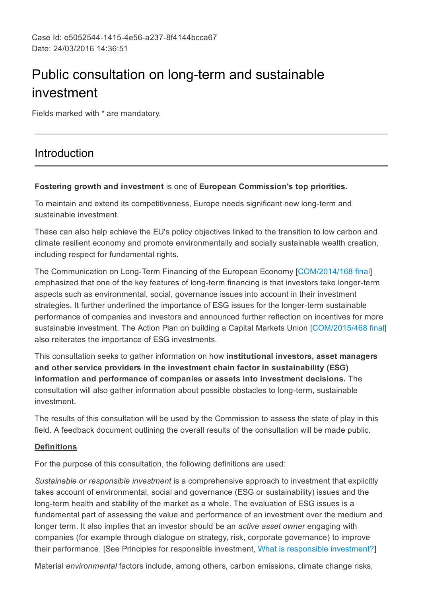# Public consultation on long-term and sustainable investment

Fields marked with \* are mandatory.

## Introduction

## Fostering growth and investment is one of European Commission's top priorities.

To maintain and extend its competitiveness, Europe needs significant new long-term and sustainable investment.

These can also help achieve the EU's policy objectives linked to the transition to low carbon and climate resilient economy and promote environmentally and socially sustainable wealth creation, including respect for fundamental rights.

The Communication on Long-Term Financing of the European Economy [[COM/2014/168](http://eur-lex.europa.eu/legal-content/EN/TXT/PDF/?uri=CELEX:52014DC0168&from=EN) final] emphasized that one of the key features of long-term financing is that investors take longer-term aspects such as environmental, social, governance issues into account in their investment strategies. It further underlined the importance of ESG issues for the longer-term sustainable performance of companies and investors and announced further reflection on incentives for more sustainable investment. The Action Plan on building a Capital Markets Union [\[COM/2015/468](http://ec.europa.eu/finance/capital-markets-union/docs/building-cmu-action-plan_en.pdf) final] also reiterates the importance of ESG investments.

This consultation seeks to gather information on how institutional investors, asset managers and other service providers in the investment chain factor in sustainability (ESG) information and performance of companies or assets into investment decisions. The consultation will also gather information about possible obstacles to long-term, sustainable investment.

The results of this consultation will be used by the Commission to assess the state of play in this field. A feedback document outlining the overall results of the consultation will be made public.

## **Definitions**

For the purpose of this consultation, the following definitions are used:

*Sustainable or responsible investment* is a comprehensive approach to investment that explicitly takes account of environmental, social and governance (ESG or sustainability) issues and the long-term health and stability of the market as a whole. The evaluation of ESG issues is a fundamental part of assessing the value and performance of an investment over the medium and longer term. It also implies that an investor should be an *active asset owner* engaging with companies (for example through dialogue on strategy, risk, corporate governance) to improve their performance. [See Principles for responsible investment, What is responsible [investment?\]](http://2xjmlj8428u1a2k5o34l1m71.wpengine.netdna-cdn.com/wp-content/uploads/1.Whatisresponsibleinvestment.pdf)

Material *environmental* factors include, among others, carbon emissions, climate change risks,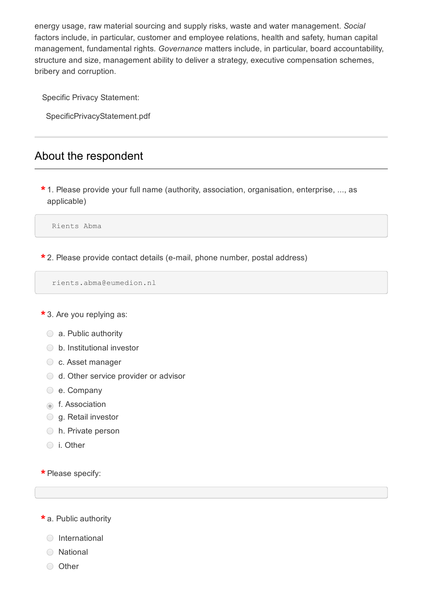energy usage, raw material sourcing and supply risks, waste and water management. *Social* factors include, in particular, customer and employee relations, health and safety, human capital management, fundamental rights. *Governance* matters include, in particular, board accountability, structure and size, management ability to deliver a strategy, executive compensation schemes, bribery and corruption.

Specific Privacy Statement:

SpecificPrivacyStatement.pdf

## About the respondent

 $\star$  1. Please provide your full name (authority, association, organisation, enterprise, ..., as applicable)

Rients Abma

 $\star$  2. Please provide contact details (e-mail, phone number, postal address)

```
rients.abma@eumedion.nl
```
\* 3. Are you replying as:

- a. Public authority
- ◯ b. Institutional investor
- c. Asset manager
- ◯ d. Other service provider or advisor
- e. Company
- **f.** Association
- $\bigcirc$  g. Retail investor
- h. Private person
- i. Other

\* Please specify:

a. Public authority \*

- International
- National
- Other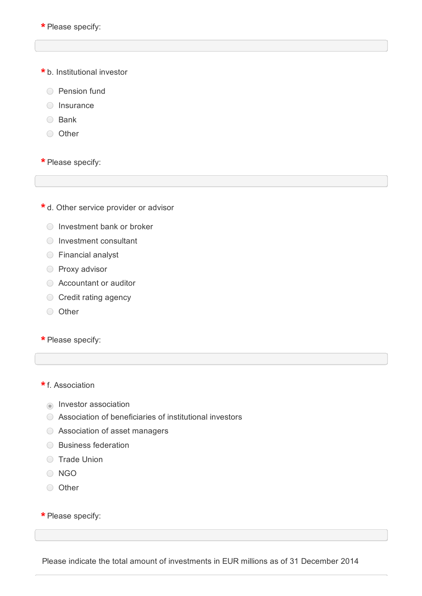\* Please specify:

b. Institutional investor \*

- ◯ Pension fund
- $\bigcirc$  Insurance
- ◯ Bank
- Other

\* Please specify:

 $\star$  d. Other service provider or advisor

- $\bigcirc$  Investment bank or broker
- ◯ Investment consultant
- Financial analyst
- O Proxy advisor
- Accountant or auditor
- **◯ Credit rating agency**
- Other

\* Please specify:

## \* f. Association

- **Investor association**
- Association of beneficiaries of institutional investors
- Association of asset managers
- ◯ Business federation
- **C** Trade Union
- O NGO
- O Other

\* Please specify:

Please indicate the total amount of investments in EUR millions as of 31 December 2014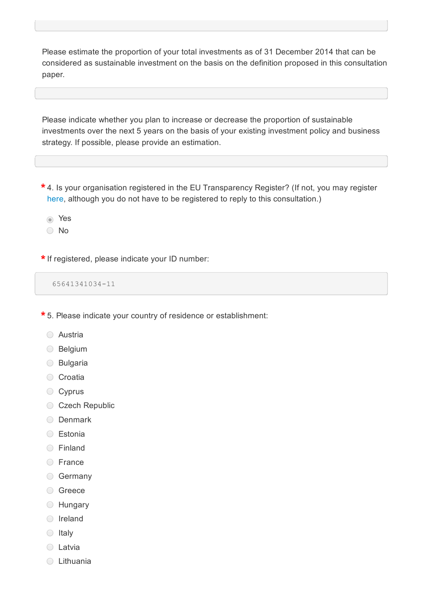Please estimate the proportion of your total investments as of 31 December 2014 that can be considered as sustainable investment on the basis on the definition proposed in this consultation paper.

Please indicate whether you plan to increase or decrease the proportion of sustainable investments over the next 5 years on the basis of your existing investment policy and business strategy. If possible, please provide an estimation.

 $^{\star}$  4. Is your organisation registered in the EU Transparency Register? (If not, you may register [here,](http://ec.europa.eu/transparencyregister/public/homePage.do?locale=en#en) although you do not have to be registered to reply to this consultation.)

Yes

◯ No

If registered, please indicate your ID number: \*

65641341034-11

5. Please indicate your country of residence or establishment: \*

- Austria
- Belgium
- Bulgaria
- **Croatia**
- ◯ Cyprus
- Czech Republic
- O Denmark
- **C** Estonia
- Finland
- **C** France
- Germany
- **Greece**
- Hungary
- O Ireland
- $\bigcirc$  Italy
- **C** Latvia
- Lithuania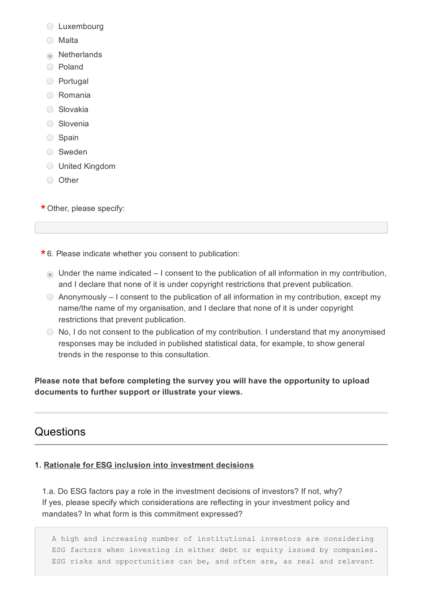- **C** Luxembourg
- Malta
- **Netherlands**
- Poland
- Portugal
- Romania
- **Slovakia**
- **Slovenia**
- ◯ Spain
- Sweden
- United Kingdom
- Other

Other, please specify: \*

6. Please indicate whether you consent to publication: \*

- Under the name indicated I consent to the publication of all information in my contribution, and I declare that none of it is under copyright restrictions that prevent publication.
- $\odot$  Anonymously I consent to the publication of all information in my contribution, except my name/the name of my organisation, and I declare that none of it is under copyright restrictions that prevent publication.
- No, I do not consent to the publication of my contribution. I understand that my anonymised responses may be included in published statistical data, for example, to show general trends in the response to this consultation.

Please note that before completing the survey you will have the opportunity to upload documents to further support or illustrate your views.

## **Questions**

## 1. Rationale for ESG inclusion into investment decisions

1.a. Do ESG factors pay a role in the investment decisions of investors? If not, why? If yes, please specify which considerations are reflecting in your investment policy and mandates? In what form is this commitment expressed?

A high and increasing number of institutional investors are considering ESG factors when investing in either debt or equity issued by companies. ESG risks and opportunities can be, and often are, as real and relevant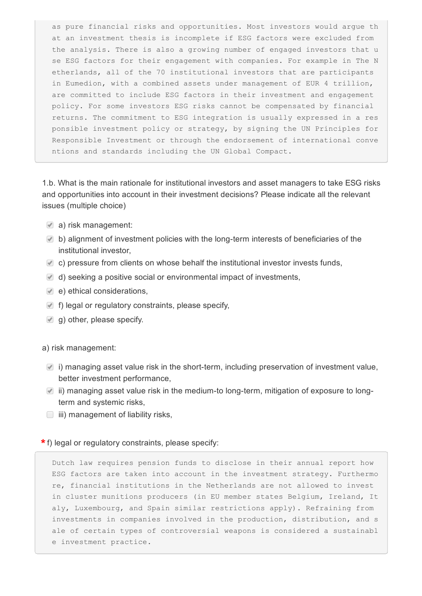as pure financial risks and opportunities. Most investors would argue th at an investment thesis is incomplete if ESG factors were excluded from the analysis. There is also a growing number of engaged investors that u se ESG factors for their engagement with companies. For example in The N etherlands, all of the 70 institutional investors that are participants in Eumedion, with a combined assets under management of EUR 4 trillion, are committed to include ESG factors in their investment and engagement policy. For some investors ESG risks cannot be compensated by financial returns. The commitment to ESG integration is usually expressed in a res ponsible investment policy or strategy, by signing the UN Principles for Responsible Investment or through the endorsement of international conve ntions and standards including the UN Global Compact.

1.b. What is the main rationale for institutional investors and asset managers to take ESG risks and opportunities into account in their investment decisions? Please indicate all the relevant issues (multiple choice)

- a) risk management:
- $\blacksquare$  b) alignment of investment policies with the long-term interests of beneficiaries of the institutional investor,
- $\blacktriangleright$  c) pressure from clients on whose behalf the institutional investor invests funds,
- $\blacksquare$  d) seeking a positive social or environmental impact of investments,
- $\bullet$  e) ethical considerations,
- $\blacksquare$  f) legal or regulatory constraints, please specify,
- $\lbrack \bullet \rbrack$  g) other, please specify.

## a) risk management:

- $\blacksquare$  i) managing asset value risk in the short-term, including preservation of investment value, better investment performance,
- $\blacksquare$  ii) managing asset value risk in the medium-to long-term, mitigation of exposure to longterm and systemic risks,
- $\Box$  iii) management of liability risks,

## $\star$  f) legal or regulatory constraints, please specify:

Dutch law requires pension funds to disclose in their annual report how ESG factors are taken into account in the investment strategy. Furthermo re, financial institutions in the Netherlands are not allowed to invest in cluster munitions producers (in EU member states Belgium, Ireland, It aly, Luxembourg, and Spain similar restrictions apply). Refraining from investments in companies involved in the production, distribution, and s ale of certain types of controversial weapons is considered a sustainabl e investment practice.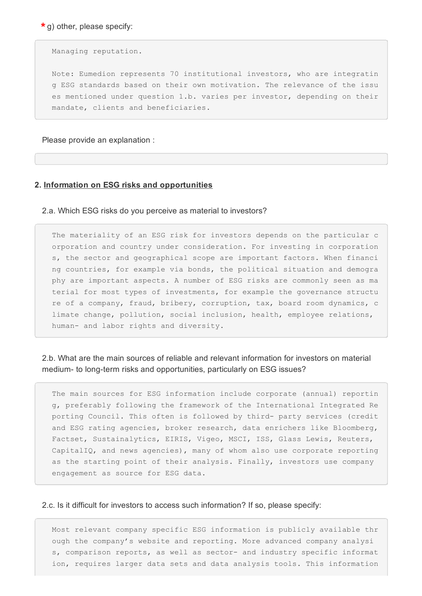$\star$  g) other, please specify:

Managing reputation.

Note: Eumedion represents 70 institutional investors, who are integratin g ESG standards based on their own motivation. The relevance of the issu es mentioned under question 1.b. varies per investor, depending on their mandate, clients and beneficiaries.

Please provide an explanation :

## 2. Information on ESG risks and opportunities

2.a. Which ESG risks do you perceive as material to investors?

The materiality of an ESG risk for investors depends on the particular c orporation and country under consideration. For investing in corporation s, the sector and geographical scope are important factors. When financi ng countries, for example via bonds, the political situation and demogra phy are important aspects. A number of ESG risks are commonly seen as ma terial for most types of investments, for example the governance structu re of a company, fraud, bribery, corruption, tax, board room dynamics, c limate change, pollution, social inclusion, health, employee relations, human- and labor rights and diversity.

2.b. What are the main sources of reliable and relevant information for investors on material medium- to long-term risks and opportunities, particularly on ESG issues?

The main sources for ESG information include corporate (annual) reportin g, preferably following the framework of the International Integrated Re porting Council. This often is followed by third- party services (credit and ESG rating agencies, broker research, data enrichers like Bloomberg, Factset, Sustainalytics, EIRIS, Vigeo, MSCI, ISS, Glass Lewis, Reuters, CapitalIQ, and news agencies), many of whom also use corporate reporting as the starting point of their analysis. Finally, investors use company engagement as source for ESG data.

### 2.c. Is it difficult for investors to access such information? If so, please specify:

Most relevant company specific ESG information is publicly available thr ough the company's website and reporting. More advanced company analysi s, comparison reports, as well as sector- and industry specific informat ion, requires larger data sets and data analysis tools. This information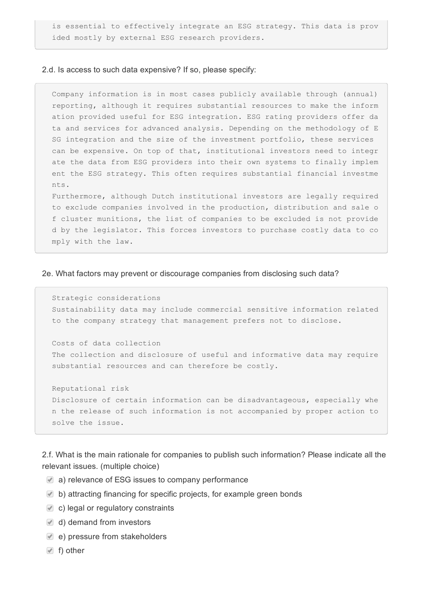is essential to effectively integrate an ESG strategy. This data is prov ided mostly by external ESG research providers.

## 2.d. Is access to such data expensive? If so, please specify:

Company information is in most cases publicly available through (annual) reporting, although it requires substantial resources to make the inform ation provided useful for ESG integration. ESG rating providers offer da ta and services for advanced analysis. Depending on the methodology of E SG integration and the size of the investment portfolio, these services can be expensive. On top of that, institutional investors need to integr ate the data from ESG providers into their own systems to finally implem ent the ESG strategy. This often requires substantial financial investme nts.

Furthermore, although Dutch institutional investors are legally required to exclude companies involved in the production, distribution and sale o f cluster munitions, the list of companies to be excluded is not provide d by the legislator. This forces investors to purchase costly data to co mply with the law.

#### 2e. What factors may prevent or discourage companies from disclosing such data?

```
Strategic considerations
Sustainability data may include commercial sensitive information related
to the company strategy that management prefers not to disclose.
```
Costs of data collection

The collection and disclosure of useful and informative data may require substantial resources and can therefore be costly.

Reputational risk Disclosure of certain information can be disadvantageous, especially whe n the release of such information is not accompanied by proper action to solve the issue.

2.f. What is the main rationale for companies to publish such information? Please indicate all the relevant issues. (multiple choice)

- a) relevance of ESG issues to company performance
- b) attracting financing for specific projects, for example green bonds
- c) legal or regulatory constraints
- d) demand from investors
- e) pressure from stakeholders
- $\Box$  f) other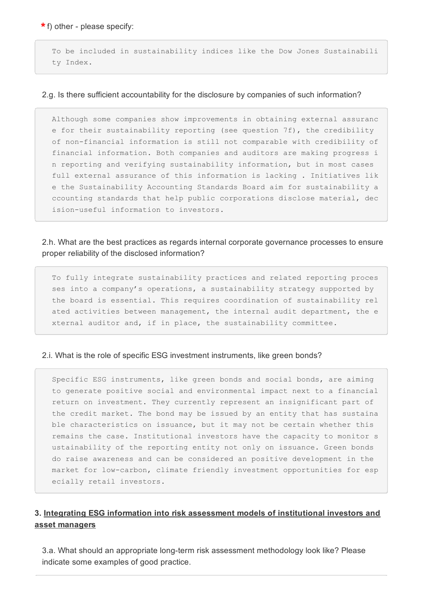$\star$  f) other - please specify:

To be included in sustainability indices like the Dow Jones Sustainabili ty Index.

### 2.g. Is there sufficient accountability for the disclosure by companies of such information?

Although some companies show improvements in obtaining external assuranc e for their sustainability reporting (see question 7f), the credibility of non-financial information is still not comparable with credibility of financial information. Both companies and auditors are making progress i n reporting and verifying sustainability information, but in most cases full external assurance of this information is lacking . Initiatives lik e the Sustainability Accounting Standards Board aim for sustainability a ccounting standards that help public corporations disclose material, dec ision-useful information to investors.

## 2.h. What are the best practices as regards internal corporate governance processes to ensure proper reliability of the disclosed information?

To fully integrate sustainability practices and related reporting proces ses into a company's operations, a sustainability strategy supported by the board is essential. This requires coordination of sustainability rel ated activities between management, the internal audit department, the e xternal auditor and, if in place, the sustainability committee.

### 2.i. What is the role of specific ESG investment instruments, like green bonds?

Specific ESG instruments, like green bonds and social bonds, are aiming to generate positive social and environmental impact next to a financial return on investment. They currently represent an insignificant part of the credit market. The bond may be issued by an entity that has sustaina ble characteristics on issuance, but it may not be certain whether this remains the case. Institutional investors have the capacity to monitor s ustainability of the reporting entity not only on issuance. Green bonds do raise awareness and can be considered an positive development in the market for low-carbon, climate friendly investment opportunities for esp ecially retail investors.

## 3. Integrating ESG information into risk assessment models of institutional investors and asset managers

3.a. What should an appropriate long-term risk assessment methodology look like? Please indicate some examples of good practice.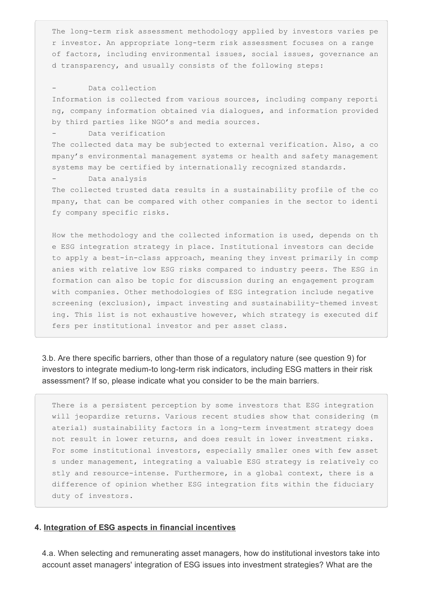The long-term risk assessment methodology applied by investors varies pe r investor. An appropriate long-term risk assessment focuses on a range of factors, including environmental issues, social issues, governance an d transparency, and usually consists of the following steps:

#### Data collection

Information is collected from various sources, including company reporti ng, company information obtained via dialogues, and information provided by third parties like NGO's and media sources.

#### Data verification

The collected data may be subjected to external verification. Also, a co mpany's environmental management systems or health and safety management systems may be certified by internationally recognized standards.

#### - Data analysis

The collected trusted data results in a sustainability profile of the co mpany, that can be compared with other companies in the sector to identi fy company specific risks.

How the methodology and the collected information is used, depends on th e ESG integration strategy in place. Institutional investors can decide to apply a best-in-class approach, meaning they invest primarily in comp anies with relative low ESG risks compared to industry peers. The ESG in formation can also be topic for discussion during an engagement program with companies. Other methodologies of ESG integration include negative screening (exclusion), impact investing and sustainability-themed invest ing. This list is not exhaustive however, which strategy is executed dif fers per institutional investor and per asset class.

3.b. Are there specific barriers, other than those of a regulatory nature (see question 9) for investors to integrate medium-to long-term risk indicators, including ESG matters in their risk assessment? If so, please indicate what you consider to be the main barriers.

There is a persistent perception by some investors that ESG integration will jeopardize returns. Various recent studies show that considering (m aterial) sustainability factors in a long-term investment strategy does not result in lower returns, and does result in lower investment risks. For some institutional investors, especially smaller ones with few asset s under management, integrating a valuable ESG strategy is relatively co stly and resource-intense. Furthermore, in a global context, there is a difference of opinion whether ESG integration fits within the fiduciary duty of investors.

### 4. Integration of ESG aspects in financial incentives

4.a. When selecting and remunerating asset managers, how do institutional investors take into account asset managers' integration of ESG issues into investment strategies? What are the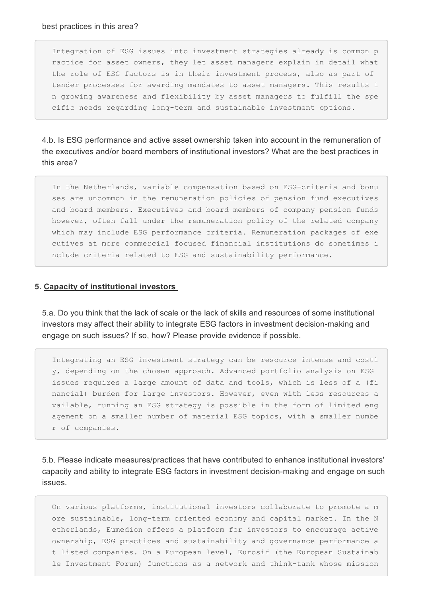Integration of ESG issues into investment strategies already is common p ractice for asset owners, they let asset managers explain in detail what the role of ESG factors is in their investment process, also as part of tender processes for awarding mandates to asset managers. This results i n growing awareness and flexibility by asset managers to fulfill the spe cific needs regarding long-term and sustainable investment options.

4.b. Is ESG performance and active asset ownership taken into account in the remuneration of the executives and/or board members of institutional investors? What are the best practices in this area?

In the Netherlands, variable compensation based on ESG-criteria and bonu ses are uncommon in the remuneration policies of pension fund executives and board members. Executives and board members of company pension funds however, often fall under the remuneration policy of the related company which may include ESG performance criteria. Remuneration packages of exe cutives at more commercial focused financial institutions do sometimes i nclude criteria related to ESG and sustainability performance.

## 5. Capacity of institutional investors

5.a. Do you think that the lack of scale or the lack of skills and resources of some institutional investors may affect their ability to integrate ESG factors in investment decision-making and engage on such issues? If so, how? Please provide evidence if possible.

Integrating an ESG investment strategy can be resource intense and costl y, depending on the chosen approach. Advanced portfolio analysis on ESG issues requires a large amount of data and tools, which is less of a (fi nancial) burden for large investors. However, even with less resources a vailable, running an ESG strategy is possible in the form of limited eng agement on a smaller number of material ESG topics, with a smaller numbe r of companies.

5.b. Please indicate measures/practices that have contributed to enhance institutional investors' capacity and ability to integrate ESG factors in investment decision-making and engage on such issues.

On various platforms, institutional investors collaborate to promote a m ore sustainable, long-term oriented economy and capital market. In the N etherlands, Eumedion offers a platform for investors to encourage active ownership, ESG practices and sustainability and governance performance a t listed companies. On a European level, Eurosif (the European Sustainab le Investment Forum) functions as a network and think-tank whose mission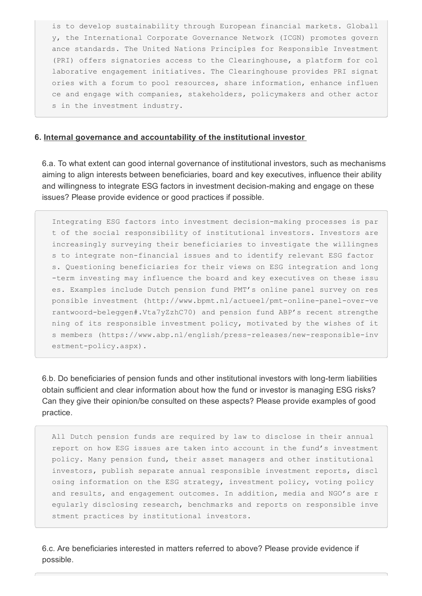is to develop sustainability through European financial markets. Globall y, the International Corporate Governance Network (ICGN) promotes govern ance standards. The United Nations Principles for Responsible Investment (PRI) offers signatories access to the Clearinghouse, a platform for col laborative engagement initiatives. The Clearinghouse provides PRI signat ories with a forum to pool resources, share information, enhance influen ce and engage with companies, stakeholders, policymakers and other actor s in the investment industry.

## 6. Internal governance and accountability of the institutional investor

6.a. To what extent can good internal governance of institutional investors, such as mechanisms aiming to align interests between beneficiaries, board and key executives, influence their ability and willingness to integrate ESG factors in investment decision-making and engage on these issues? Please provide evidence or good practices if possible.

Integrating ESG factors into investment decision-making processes is par t of the social responsibility of institutional investors. Investors are increasingly surveying their beneficiaries to investigate the willingnes s to integrate non-financial issues and to identify relevant ESG factor s. Questioning beneficiaries for their views on ESG integration and long term investing may influence the board and key executives on these issu es. Examples include Dutch pension fund PMT's online panel survey on res ponsible investment (http://www.bpmt.nl/actueel/pmt-online-panel-over-ve rantwoord-beleggen#.Vta7yZzhC70) and pension fund ABP's recent strengthe ning of its responsible investment policy, motivated by the wishes of it s members (https://www.abp.nl/english/press-releases/new-responsible-inv estment-policy.aspx).

6.b. Do beneficiaries of pension funds and other institutional investors with long-term liabilities obtain sufficient and clear information about how the fund or investor is managing ESG risks? Can they give their opinion/be consulted on these aspects? Please provide examples of good practice.

All Dutch pension funds are required by law to disclose in their annual report on how ESG issues are taken into account in the fund's investment policy. Many pension fund, their asset managers and other institutional investors, publish separate annual responsible investment reports, discl osing information on the ESG strategy, investment policy, voting policy and results, and engagement outcomes. In addition, media and NGO's are r egularly disclosing research, benchmarks and reports on responsible inve stment practices by institutional investors.

6.c. Are beneficiaries interested in matters referred to above? Please provide evidence if possible.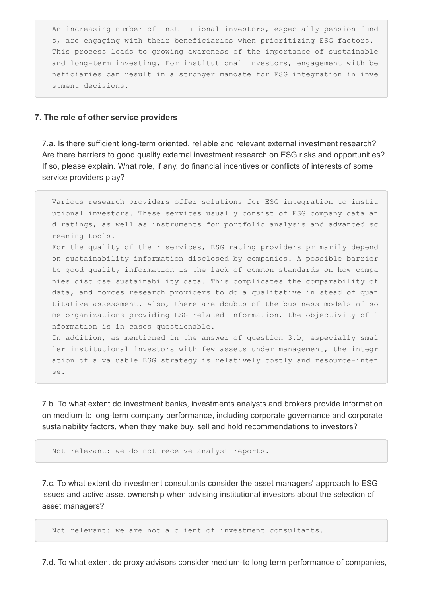An increasing number of institutional investors, especially pension fund s, are engaging with their beneficiaries when prioritizing ESG factors. This process leads to growing awareness of the importance of sustainable and long-term investing. For institutional investors, engagement with be neficiaries can result in a stronger mandate for ESG integration in inve stment decisions.

## 7. The role of other service providers

7.a. Is there sufficient long-term oriented, reliable and relevant external investment research? Are there barriers to good quality external investment research on ESG risks and opportunities? If so, please explain. What role, if any, do financial incentives or conflicts of interests of some service providers play?

Various research providers offer solutions for ESG integration to instit utional investors. These services usually consist of ESG company data an d ratings, as well as instruments for portfolio analysis and advanced sc reening tools. For the quality of their services, ESG rating providers primarily depend on sustainability information disclosed by companies. A possible barrier to good quality information is the lack of common standards on how compa nies disclose sustainability data. This complicates the comparability of data, and forces research providers to do a qualitative in stead of quan titative assessment. Also, there are doubts of the business models of so me organizations providing ESG related information, the objectivity of i nformation is in cases questionable. In addition, as mentioned in the answer of question 3.b, especially smal

ler institutional investors with few assets under management, the integr ation of a valuable ESG strategy is relatively costly and resource-inten se.

7.b. To what extent do investment banks, investments analysts and brokers provide information on medium-to long-term company performance, including corporate governance and corporate sustainability factors, when they make buy, sell and hold recommendations to investors?

Not relevant: we do not receive analyst reports.

7.c. To what extent do investment consultants consider the asset managers' approach to ESG issues and active asset ownership when advising institutional investors about the selection of asset managers?

Not relevant: we are not a client of investment consultants.

7.d. To what extent do proxy advisors consider medium-to long term performance of companies,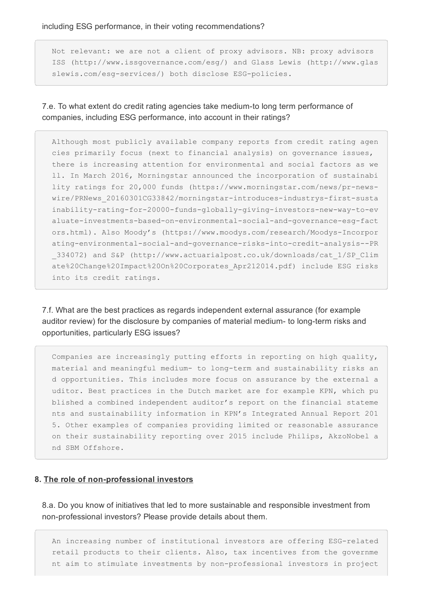including ESG performance, in their voting recommendations?

Not relevant: we are not a client of proxy advisors. NB: proxy advisors ISS (http://www.issgovernance.com/esg/) and Glass Lewis (http://www.glas slewis.com/esq-services/) both disclose ESG-policies.

7.e. To what extent do credit rating agencies take medium-to long term performance of companies, including ESG performance, into account in their ratings?

Although most publicly available company reports from credit rating agen cies primarily focus (next to financial analysis) on governance issues, there is increasing attention for environmental and social factors as we ll. In March 2016, Morningstar announced the incorporation of sustainabi lity ratings for 20,000 funds (https://www.morningstar.com/news/pr-newswire/PRNews 20160301CG33842/morningstar-introduces-industrys-first-susta inability-rating-for-20000-funds-globally-giving-investors-new-way-to-ev aluate-investments-based-on-environmental-social-and-governance-esg-fact ors.html). Also Moody's (https://www.moodys.com/research/Moodys-Incorpor ating-environmental-social-and-governance-risks-into-credit-analysis--PR \_334072) and S&P (http://www.actuarialpost.co.uk/downloads/cat\_1/SP\_Clim ate%20Change%20Impact%20On%20Corporates\_Apr212014.pdf) include ESG risks into its credit ratings.

7.f. What are the best practices as regards independent external assurance (for example auditor review) for the disclosure by companies of material medium- to long-term risks and opportunities, particularly ESG issues?

Companies are increasingly putting efforts in reporting on high quality, material and meaningful medium- to long-term and sustainability risks an d opportunities. This includes more focus on assurance by the external a uditor. Best practices in the Dutch market are for example KPN, which pu blished a combined independent auditor's report on the financial stateme nts and sustainability information in KPN's Integrated Annual Report 201 5. Other examples of companies providing limited or reasonable assurance on their sustainability reporting over 2015 include Philips, AkzoNobel a nd SBM Offshore.

## 8. The role of non-professional investors

8.a. Do you know of initiatives that led to more sustainable and responsible investment from non-professional investors? Please provide details about them.

An increasing number of institutional investors are offering ESG-related retail products to their clients. Also, tax incentives from the governme nt aim to stimulate investments by non-professional investors in project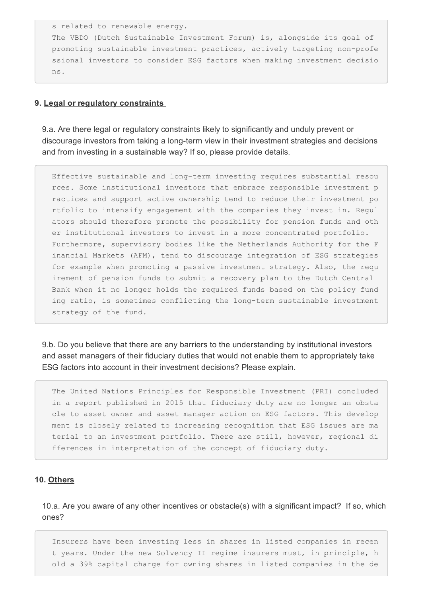s related to renewable energy. The VBDO (Dutch Sustainable Investment Forum) is, alongside its goal of promoting sustainable investment practices, actively targeting non-profe ssional investors to consider ESG factors when making investment decisio ns.

### 9. Legal or regulatory constraints

9.a. Are there legal or regulatory constraints likely to significantly and unduly prevent or discourage investors from taking a long-term view in their investment strategies and decisions and from investing in a sustainable way? If so, please provide details.

Effective sustainable and long-term investing requires substantial resou rces. Some institutional investors that embrace responsible investment p ractices and support active ownership tend to reduce their investment po rtfolio to intensify engagement with the companies they invest in. Regul ators should therefore promote the possibility for pension funds and oth er institutional investors to invest in a more concentrated portfolio. Furthermore, supervisory bodies like the Netherlands Authority for the F inancial Markets (AFM), tend to discourage integration of ESG strategies for example when promoting a passive investment strategy. Also, the requ irement of pension funds to submit a recovery plan to the Dutch Central Bank when it no longer holds the required funds based on the policy fund ing ratio, is sometimes conflicting the long-term sustainable investment strategy of the fund.

9.b. Do you believe that there are any barriers to the understanding by institutional investors and asset managers of their fiduciary duties that would not enable them to appropriately take ESG factors into account in their investment decisions? Please explain.

The United Nations Principles for Responsible Investment (PRI) concluded in a report published in 2015 that fiduciary duty are no longer an obsta cle to asset owner and asset manager action on ESG factors. This develop ment is closely related to increasing recognition that ESG issues are ma terial to an investment portfolio. There are still, however, regional di fferences in interpretation of the concept of fiduciary duty.

## 10. Others

10.a. Are you aware of any other incentives or obstacle(s) with a significant impact? If so, which ones?

Insurers have been investing less in shares in listed companies in recen t years. Under the new Solvency II regime insurers must, in principle, h old a 39% capital charge for owning shares in listed companies in the de